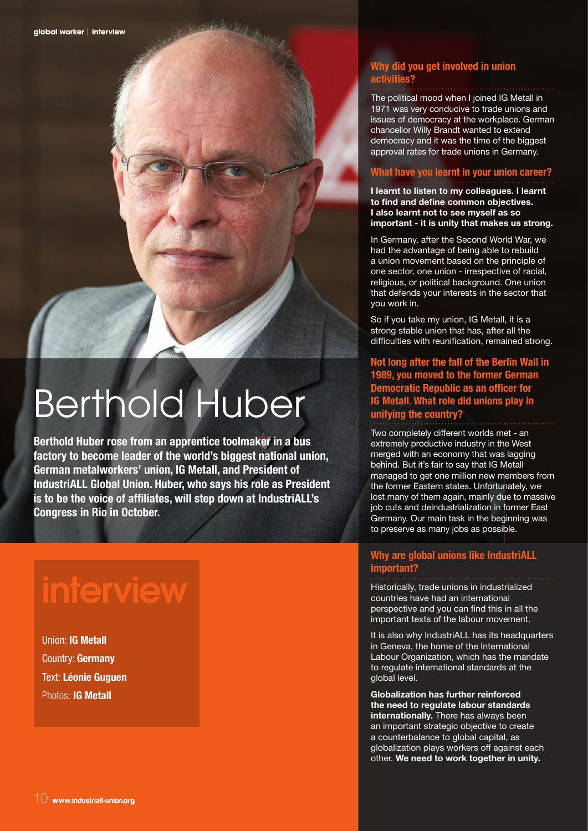# Berthold Huber

**Berthold Huber rose from an apprentice toolmaker in a bus factory to become leader of the world's biggest national union, German metalworkers' union, IG Metall, and President of IndustriALL Global Union. Huber, who says his role as President is to be the voice of affiliates, will step down at IndustriALL's Congress in Rio in October.** 

1 Lawy

## **interview**

Union: **IG Metall** Country: **Germany** Text: **Léonie Guguen**  Photos: **IG Metall**

## **Why did you get involved in union activities?**

The political mood when I joined IG Metall in 1971 was very conducive to trade unions and issues of democracy at the workplace. German chancellor Willy Brandt wanted to extend democracy and it was the time of the biggest approval rates for trade unions in Germany.

## **What have you learnt in your union career?**

**I learnt to listen to my colleagues. I learnt to find and define common objectives. I also learnt not to see myself as so important - it is unity that makes us strong.** 

In Germany, after the Second World War, we had the advantage of being able to rebuild a union movement based on the principle of one sector, one union - irrespective of racial, religious, or political background. One union that defends your interests in the sector that you work in.

So if you take my union, IG Metall, it is a strong stable union that has, after all the difficulties with reunification, remained strong.

**Not long after the fall of the Berlin Wall in 1989, you moved to the former German Democratic Republic as an officer for IG Metall. What role did unions play in unifying the country?**

Two completely different worlds met - an extremely productive industry in the West merged with an economy that was lagging behind. But it's fair to say that IG Metall managed to get one million new members from the former Eastern states. Unfortunately, we lost many of them again, mainly due to massive job cuts and deindustrialization in former East Germany. Our main task in the beginning was to preserve as many jobs as possible.

## **Why are global unions like IndustriALL important?**

Historically, trade unions in industrialized countries have had an international perspective and you can find this in all the important texts of the labour movement.

It is also why IndustriALL has its headquarters in Geneva, the home of the International Labour Organization, which has the mandate to regulate international standards at the global level.

**Globalization has further reinforced the need to regulate labour standards internationally.** There has always been an important strategic objective to create a counterbalance to global capital, as globalization plays workers off against each other. **We need to work together in unity.**